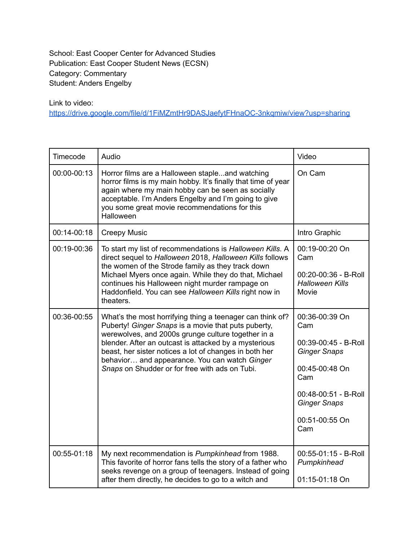School: East Cooper Center for Advanced Studies Publication: East Cooper Student News (ECSN) Category: Commentary Student: Anders Engelby

Link to video:

<https://drive.google.com/file/d/1FiMZmtHr9DASJaefytFHnaOC-3nkqmiw/view?usp=sharing>

| Timecode    | Audio                                                                                                                                                                                                                                                                                                                                                                                        | Video                                                                                                                                                                 |
|-------------|----------------------------------------------------------------------------------------------------------------------------------------------------------------------------------------------------------------------------------------------------------------------------------------------------------------------------------------------------------------------------------------------|-----------------------------------------------------------------------------------------------------------------------------------------------------------------------|
| 00:00-00:13 | Horror films are a Halloween stapleand watching<br>horror films is my main hobby. It's finally that time of year<br>again where my main hobby can be seen as socially<br>acceptable. I'm Anders Engelby and I'm going to give<br>you some great movie recommendations for this<br><b>Halloween</b>                                                                                           | On Cam                                                                                                                                                                |
| 00:14-00:18 | <b>Creepy Music</b>                                                                                                                                                                                                                                                                                                                                                                          | Intro Graphic                                                                                                                                                         |
| 00:19-00:36 | To start my list of recommendations is Halloween Kills. A<br>direct sequel to Halloween 2018, Halloween Kills follows<br>the women of the Strode family as they track down<br>Michael Myers once again. While they do that, Michael<br>continues his Halloween night murder rampage on<br>Haddonfield. You can see Halloween Kills right now in<br>theaters.                                 | 00:19-00:20 On<br>Cam<br>00:20-00:36 - B-Roll<br><b>Halloween Kills</b><br>Movie                                                                                      |
| 00:36-00:55 | What's the most horrifying thing a teenager can think of?<br>Puberty! Ginger Snaps is a movie that puts puberty,<br>werewolves, and 2000s grunge culture together in a<br>blender. After an outcast is attacked by a mysterious<br>beast, her sister notices a lot of changes in both her<br>behavior and appearance. You can watch Ginger<br>Snaps on Shudder or for free with ads on Tubi. | 00:36-00:39 On<br>Cam<br>00:39-00:45 - B-Roll<br><b>Ginger Snaps</b><br>00:45-00:48 On<br>Cam<br>00:48-00:51 - B-Roll<br><b>Ginger Snaps</b><br>00:51-00:55 On<br>Cam |
| 00:55-01:18 | My next recommendation is Pumpkinhead from 1988.<br>This favorite of horror fans tells the story of a father who<br>seeks revenge on a group of teenagers. Instead of going<br>after them directly, he decides to go to a witch and                                                                                                                                                          | 00:55-01:15 - B-Roll<br>Pumpkinhead<br>01:15-01:18 On                                                                                                                 |